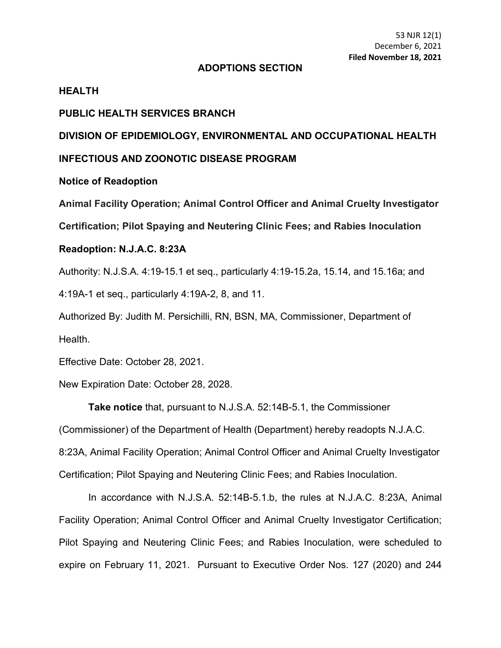### **ADOPTIONS SECTION**

## **HEALTH**

### **PUBLIC HEALTH SERVICES BRANCH**

# **DIVISION OF EPIDEMIOLOGY, ENVIRONMENTAL AND OCCUPATIONAL HEALTH**

### **INFECTIOUS AND ZOONOTIC DISEASE PROGRAM**

### **Notice of Readoption**

**Animal Facility Operation; Animal Control Officer and Animal Cruelty Investigator** 

**Certification; Pilot Spaying and Neutering Clinic Fees; and Rabies Inoculation**

### **Readoption: N.J.A.C. 8:23A**

Authority: N.J.S.A. 4:19-15.1 et seq., particularly 4:19-15.2a, 15.14, and 15.16a; and

4:19A-1 et seq., particularly 4:19A-2, 8, and 11.

Authorized By: Judith M. Persichilli, RN, BSN, MA, Commissioner, Department of Health.

Effective Date: October 28, 2021.

New Expiration Date: October 28, 2028.

**Take notice** that, pursuant to N.J.S.A. 52:14B-5.1, the Commissioner

(Commissioner) of the Department of Health (Department) hereby readopts N.J.A.C.

8:23A, Animal Facility Operation; Animal Control Officer and Animal Cruelty Investigator

Certification; Pilot Spaying and Neutering Clinic Fees; and Rabies Inoculation.

In accordance with N.J.S.A. 52:14B-5.1.b, the rules at N.J.A.C. 8:23A, Animal Facility Operation; Animal Control Officer and Animal Cruelty Investigator Certification; Pilot Spaying and Neutering Clinic Fees; and Rabies Inoculation, were scheduled to expire on February 11, 2021. Pursuant to Executive Order Nos. 127 (2020) and 244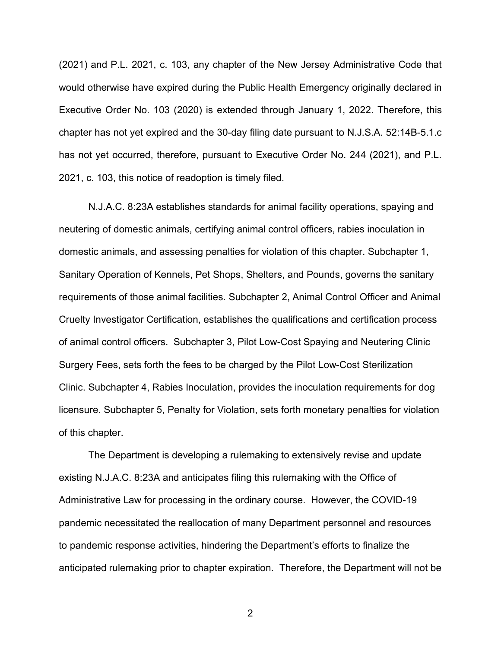(2021) and P.L. 2021, c. 103, any chapter of the New Jersey Administrative Code that would otherwise have expired during the Public Health Emergency originally declared in Executive Order No. 103 (2020) is extended through January 1, 2022. Therefore, this chapter has not yet expired and the 30-day filing date pursuant to N.J.S.A. 52:14B-5.1.c has not yet occurred, therefore, pursuant to Executive Order No. 244 (2021), and P.L. 2021, c. 103, this notice of readoption is timely filed.

N.J.A.C. 8:23A establishes standards for animal facility operations, spaying and neutering of domestic animals, certifying animal control officers, rabies inoculation in domestic animals, and assessing penalties for violation of this chapter. Subchapter 1, Sanitary Operation of Kennels, Pet Shops, Shelters, and Pounds, governs the sanitary requirements of those animal facilities. Subchapter 2, Animal Control Officer and Animal Cruelty Investigator Certification, establishes the qualifications and certification process of animal control officers. Subchapter 3, Pilot Low-Cost Spaying and Neutering Clinic Surgery Fees, sets forth the fees to be charged by the Pilot Low-Cost Sterilization Clinic. Subchapter 4, Rabies Inoculation, provides the inoculation requirements for dog licensure. Subchapter 5, Penalty for Violation, sets forth monetary penalties for violation of this chapter.

The Department is developing a rulemaking to extensively revise and update existing N.J.A.C. 8:23A and anticipates filing this rulemaking with the Office of Administrative Law for processing in the ordinary course. However, the COVID-19 pandemic necessitated the reallocation of many Department personnel and resources to pandemic response activities, hindering the Department's efforts to finalize the anticipated rulemaking prior to chapter expiration. Therefore, the Department will not be

2